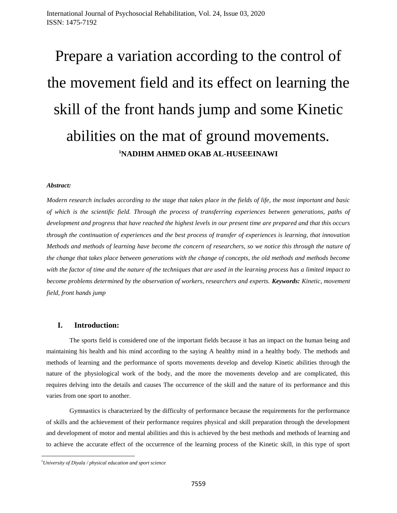# Prepare a variation according to the control of the movement field and its effect on learning the skill of the front hands jump and some Kinetic abilities on the mat of ground movements. **<sup>1</sup>NADIHM AHMED OKAB AL-HUSEEINAWI**

## *Abstract:*

*Modern research includes according to the stage that takes place in the fields of life, the most important and basic of which is the scientific field. Through the process of transferring experiences between generations, paths of development and progress that have reached the highest levels in our present time are prepared and that this occurs through the continuation of experiences and the best process of transfer of experiences is learning, that innovation Methods and methods of learning have become the concern of researchers, so we notice this through the nature of the change that takes place between generations with the change of concepts, the old methods and methods become with the factor of time and the nature of the techniques that are used in the learning process has a limited impact to become problems determined by the observation of workers, researchers and experts. Keywords: Kinetic, movement field, front hands jump* 

## **I. Introduction:**

The sports field is considered one of the important fields because it has an impact on the human being and maintaining his health and his mind according to the saying A healthy mind in a healthy body. The methods and methods of learning and the performance of sports movements develop and develop Kinetic abilities through the nature of the physiological work of the body, and the more the movements develop and are complicated, this requires delving into the details and causes The occurrence of the skill and the nature of its performance and this varies from one sport to another.

Gymnastics is characterized by the difficulty of performance because the requirements for the performance of skills and the achievement of their performance requires physical and skill preparation through the development and development of motor and mental abilities and this is achieved by the best methods and methods of learning and to achieve the accurate effect of the occurrence of the learning process of the Kinetic skill, in this type of sport

l

<sup>1</sup>*University of Diyala / physical education and sport science*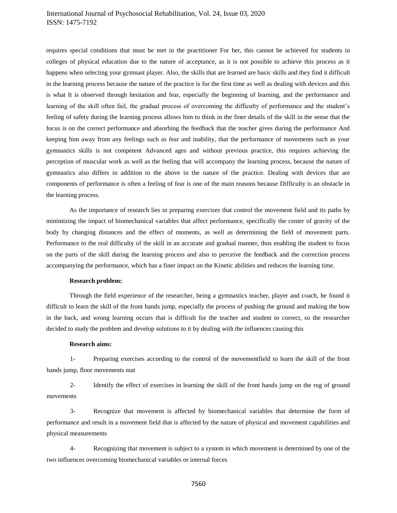# International Journal of Psychosocial Rehabilitation, Vol. 24, Issue 03, 2020 ISSN: 1475-7192

requires special conditions that must be met in the practitioner For her, this cannot be achieved for students in colleges of physical education due to the nature of acceptance, as it is not possible to achieve this process as it happens when selecting your gymnast player. Also, the skills that are learned are basic skills and they find it difficult in the learning process because the nature of the practice is for the first time as well as dealing with devices and this is what It is observed through hesitation and fear, especially the beginning of learning, and the performance and learning of the skill often fail, the gradual process of overcoming the difficulty of performance and the student's feeling of safety during the learning process allows him to think in the finer details of the skill in the sense that the focus is on the correct performance and absorbing the feedback that the teacher gives during the performance And keeping him away from any feelings such as fear and inability, that the performance of movements such as your gymnastics skills is not competent Advanced ages and without previous practice, this requires achieving the perception of muscular work as well as the feeling that will accompany the learning process, because the nature of gymnastics also differs in addition to the above in the nature of the practice. Dealing with devices that are components of performance is often a feeling of fear is one of the main reasons because Difficulty is an obstacle in the learning process.

As the importance of research lies in preparing exercises that control the movement field and its paths by minimizing the impact of biomechanical variables that affect performance, specifically the center of gravity of the body by changing distances and the effect of moments, as well as determining the field of movement parts. Performance to the real difficulty of the skill in an accurate and gradual manner, thus enabling the student to focus on the parts of the skill during the learning process and also to perceive the feedback and the correction process accompanying the performance, which has a finer impact on the Kinetic abilities and reduces the learning time.

#### **Research problem:**

Through the field experience of the researcher, being a gymnastics teacher, player and coach, he found it difficult to learn the skill of the front hands jump, especially the process of pushing the ground and making the bow in the back, and wrong learning occurs that is difficult for the teacher and student to correct, so the researcher decided to study the problem and develop solutions to it by dealing with the influences causing this

#### **Research aims:**

1- Preparing exercises according to the control of the movementfield to learn the skill of the front hands jump, floor movements mat

2- Identify the effect of exercises in learning the skill of the front hands jump on the rug of ground movements

3- Recognize that movement is affected by biomechanical variables that determine the form of performance and result in a movement field that is affected by the nature of physical and movement capabilities and physical measurements

4- Recognizing that movement is subject to a system in which movement is determined by one of the two influences overcoming biomechanical variables or internal forces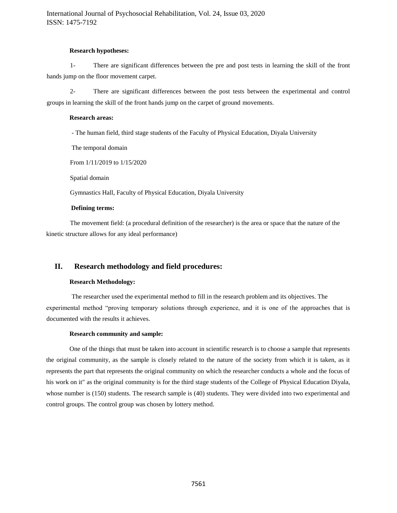## **Research hypotheses:**

1- There are significant differences between the pre and post tests in learning the skill of the front hands jump on the floor movement carpet.

2- There are significant differences between the post tests between the experimental and control groups in learning the skill of the front hands jump on the carpet of ground movements.

## **Research areas:**

- The human field, third stage students of the Faculty of Physical Education, Diyala University

The temporal domain

From 1/11/2019 to 1/15/2020

Spatial domain

Gymnastics Hall, Faculty of Physical Education, Diyala University

#### **Defining terms:**

The movement field: (a procedural definition of the researcher) is the area or space that the nature of the kinetic structure allows for any ideal performance)

# **II. Research methodology and field procedures:**

## **Research Methodology:**

The researcher used the experimental method to fill in the research problem and its objectives. The experimental method "proving temporary solutions through experience, and it is one of the approaches that is documented with the results it achieves.

## **Research community and sample:**

One of the things that must be taken into account in scientific research is to choose a sample that represents the original community, as the sample is closely related to the nature of the society from which it is taken, as it represents the part that represents the original community on which the researcher conducts a whole and the focus of his work on it" as the original community is for the third stage students of the College of Physical Education Diyala, whose number is (150) students. The research sample is (40) students. They were divided into two experimental and control groups. The control group was chosen by lottery method.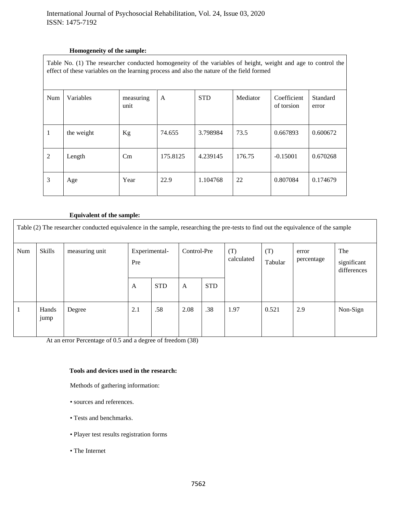# **Homogeneity of the sample:**

| Table No. (1) The researcher conducted homogeneity of the variables of height, weight and age to control the<br>effect of these variables on the learning process and also the nature of the field formed |            |                   |              |            |          |                           |                   |  |
|-----------------------------------------------------------------------------------------------------------------------------------------------------------------------------------------------------------|------------|-------------------|--------------|------------|----------|---------------------------|-------------------|--|
| Num                                                                                                                                                                                                       | Variables  | measuring<br>unit | $\mathbf{A}$ | <b>STD</b> | Mediator | Coefficient<br>of torsion | Standard<br>error |  |
|                                                                                                                                                                                                           | the weight | <b>Kg</b>         | 74.655       | 3.798984   | 73.5     | 0.667893                  | 0.600672          |  |
| 2                                                                                                                                                                                                         | Length     | Cm                | 175.8125     | 4.239145   | 176.75   | $-0.15001$                | 0.670268          |  |
| 3                                                                                                                                                                                                         | Age        | Year              | 22.9         | 1.104768   | 22       | 0.807084                  | 0.174679          |  |

# **Equivalent of the sample:**

| Table (2) The researcher conducted equivalence in the sample, researching the pre-tests to find out the equivalence of the sample |               |                |                      |            |             |            |                   |                |                     |                                   |
|-----------------------------------------------------------------------------------------------------------------------------------|---------------|----------------|----------------------|------------|-------------|------------|-------------------|----------------|---------------------|-----------------------------------|
| Num                                                                                                                               | Skills        | measuring unit | Experimental-<br>Pre |            | Control-Pre |            | (T)<br>calculated | (T)<br>Tabular | error<br>percentage | The<br>significant<br>differences |
|                                                                                                                                   |               |                | A                    | <b>STD</b> | A           | <b>STD</b> |                   |                |                     |                                   |
|                                                                                                                                   | Hands<br>jump | Degree         | 2.1                  | .58        | 2.08        | .38        | 1.97              | 0.521          | 2.9                 | Non-Sign                          |

At an error Percentage of 0.5 and a degree of freedom (38)

# **Tools and devices used in the research:**

Methods of gathering information:

- sources and references.
- Tests and benchmarks.
- Player test results registration forms
- The Internet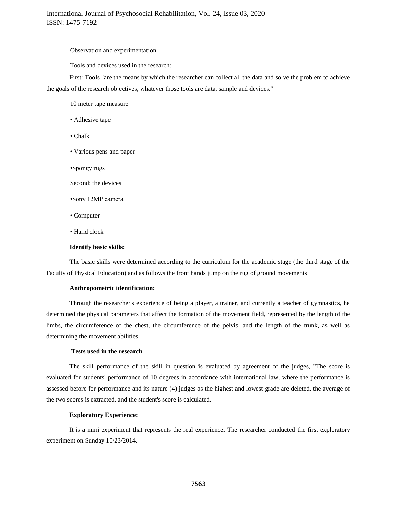## Observation and experimentation

Tools and devices used in the research:

First: Tools "are the means by which the researcher can collect all the data and solve the problem to achieve the goals of the research objectives, whatever those tools are data, sample and devices."

10 meter tape measure

- Adhesive tape
- Chalk
- Various pens and paper
- •Spongy rugs

Second: the devices

- •Sony 12MP camera
- Computer
- Hand clock

#### **Identify basic skills:**

The basic skills were determined according to the curriculum for the academic stage (the third stage of the Faculty of Physical Education) and as follows the front hands jump on the rug of ground movements

#### **Anthropometric identification:**

Through the researcher's experience of being a player, a trainer, and currently a teacher of gymnastics, he determined the physical parameters that affect the formation of the movement field, represented by the length of the limbs, the circumference of the chest, the circumference of the pelvis, and the length of the trunk, as well as determining the movement abilities.

#### **Tests used in the research**

The skill performance of the skill in question is evaluated by agreement of the judges, "The score is evaluated for students' performance of 10 degrees in accordance with international law, where the performance is assessed before for performance and its nature (4) judges as the highest and lowest grade are deleted, the average of the two scores is extracted, and the student's score is calculated.

## **Exploratory Experience:**

It is a mini experiment that represents the real experience. The researcher conducted the first exploratory experiment on Sunday 10/23/2014.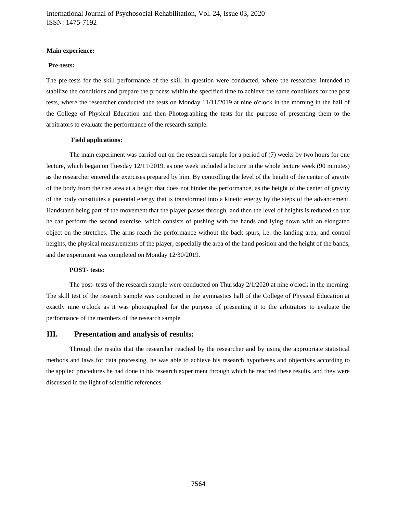## **Main experience:**

## **Pre-tests:**

The pre-tests for the skill performance of the skill in question were conducted, where the researcher intended to stabilize the conditions and prepare the process within the specified time to achieve the same conditions for the post tests, where the researcher conducted the tests on Monday 11/11/2019 at nine o'clock in the morning in the hall of the College of Physical Education and then Photographing the tests for the purpose of presenting them to the arbitrators to evaluate the performance of the research sample.

## **Field applications:**

The main experiment was carried out on the research sample for a period of (7) weeks by two hours for one lecture, which began on Tuesday 12/11/2019, as one week included a lecture in the whole lecture week (90 minutes) as the researcher entered the exercises prepared by him. By controlling the level of the height of the center of gravity of the body from the rise area at a height that does not hinder the performance, as the height of the center of gravity of the body constitutes a potential energy that is transformed into a kinetic energy by the steps of the advancement. Handstand being part of the movement that the player passes through, and then the level of heights is reduced so that he can perform the second exercise, which consists of pushing with the hands and lying down with an elongated object on the stretches. The arms reach the performance without the back spurs, i.e. the landing area, and control heights, the physical measurements of the player, especially the area of the hand position and the height of the bands, and the experiment was completed on Monday 12/30/2019.

## **POST- tests:**

The post- tests of the research sample were conducted on Thursday 2/1/2020 at nine o'clock in the morning. The skill test of the research sample was conducted in the gymnastics hall of the College of Physical Education at exactly nine o'clock as it was photographed for the purpose of presenting it to the arbitrators to evaluate the performance of the members of the research sample

## **III. Presentation and analysis of results:**

Through the results that the researcher reached by the researcher and by using the appropriate statistical methods and laws for data processing, he was able to achieve his research hypotheses and objectives according to the applied procedures he had done in his research experiment through which he reached these results, and they were discussed in the light of scientific references.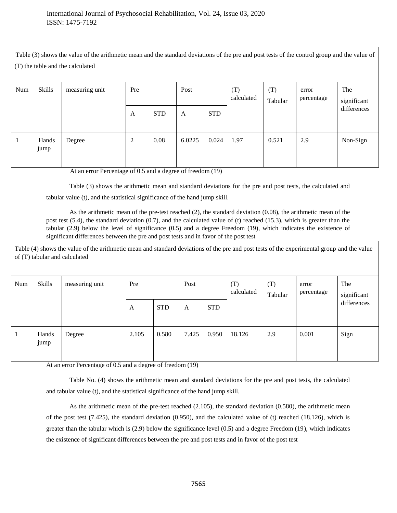Table (3) shows the value of the arithmetic mean and the standard deviations of the pre and post tests of the control group and the value of (T) the table and the calculated

| Num | <b>Skills</b> | measuring unit | Pre |            | Post   |            | (T)<br>calculated | (T)<br>Tabular | error<br>percentage | The<br>significant |
|-----|---------------|----------------|-----|------------|--------|------------|-------------------|----------------|---------------------|--------------------|
|     |               |                | A   | <b>STD</b> | A      | <b>STD</b> |                   |                |                     | differences        |
| -   | Hands<br>jump | Degree         | 2   | 0.08       | 6.0225 | 0.024      | 1.97              | 0.521          | 2.9                 | Non-Sign           |

At an error Percentage of 0.5 and a degree of freedom (19)

Table (3) shows the arithmetic mean and standard deviations for the pre and post tests, the calculated and tabular value (t), and the statistical significance of the hand jump skill.

As the arithmetic mean of the pre-test reached (2), the standard deviation (0.08), the arithmetic mean of the post test  $(5.4)$ , the standard deviation  $(0.7)$ , and the calculated value of (t) reached  $(15.3)$ , which is greater than the tabular (2.9) below the level of significance (0.5) and a degree Freedom (19), which indicates the existence of significant differences between the pre and post tests and in favor of the post test

Table (4) shows the value of the arithmetic mean and standard deviations of the pre and post tests of the experimental group and the value of (T) tabular and calculated

| Num          | <b>Skills</b>              | measuring unit | Pre   |            | Post  |            | (T)<br>calculated | (T)<br>Tabular | error<br>percentage | The<br>significant |
|--------------|----------------------------|----------------|-------|------------|-------|------------|-------------------|----------------|---------------------|--------------------|
|              |                            |                | A     | <b>STD</b> | A     | <b>STD</b> |                   |                |                     | differences        |
| $\mathbf{1}$ | Hands<br>$\bullet$<br>jump | Degree         | 2.105 | 0.580      | 7.425 | 0.950      | 18.126            | 2.9            | 0.001               | Sign               |

At an error Percentage of 0.5 and a degree of freedom (19)

Table No. (4) shows the arithmetic mean and standard deviations for the pre and post tests, the calculated and tabular value (t), and the statistical significance of the hand jump skill.

As the arithmetic mean of the pre-test reached (2.105), the standard deviation (0.580), the arithmetic mean of the post test (7.425), the standard deviation (0.950), and the calculated value of (t) reached (18.126), which is greater than the tabular which is  $(2.9)$  below the significance level  $(0.5)$  and a degree Freedom  $(19)$ , which indicates the existence of significant differences between the pre and post tests and in favor of the post test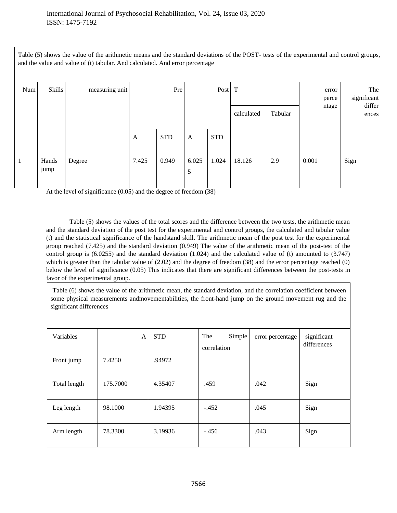Table (5) shows the value of the arithmetic means and the standard deviations of the POST- tests of the experimental and control groups, and the value and value of (t) tabular. And calculated. And error percentage

| Num | <b>Skills</b> | measuring unit | Pre   |            | Post                    |            | T          |         | error<br>perce | The<br>significant |                 |  |
|-----|---------------|----------------|-------|------------|-------------------------|------------|------------|---------|----------------|--------------------|-----------------|--|
|     |               |                |       |            |                         |            | calculated | Tabular | ntage          |                    | differ<br>ences |  |
|     |               |                | A     | <b>STD</b> | A                       | <b>STD</b> |            |         |                |                    |                 |  |
| 1   | Hands<br>jump | Degree         | 7.425 | 0.949      | 6.025<br>$\mathfrak{S}$ | 1.024      | 18.126     | 2.9     | 0.001          | Sign               |                 |  |

At the level of significance (0.05) and the degree of freedom (38)

Table (5) shows the values of the total scores and the difference between the two tests, the arithmetic mean and the standard deviation of the post test for the experimental and control groups, the calculated and tabular value (t) and the statistical significance of the handstand skill. The arithmetic mean of the post test for the experimental group reached (7.425) and the standard deviation (0.949) The value of the arithmetic mean of the post-test of the control group is (6.0255) and the standard deviation (1.024) and the calculated value of (t) amounted to (3.747) which is greater than the tabular value of  $(2.02)$  and the degree of freedom  $(38)$  and the error percentage reached  $(0)$ below the level of significance (0.05) This indicates that there are significant differences between the post-tests in favor of the experimental group.

Table (6) shows the value of the arithmetic mean, the standard deviation, and the correlation coefficient between some physical measurements andmovementabilities, the front-hand jump on the ground movement rug and the significant differences

| Variables    | A        | <b>STD</b> | The<br>Simple<br>correlation | error percentage | significant<br>differences |
|--------------|----------|------------|------------------------------|------------------|----------------------------|
| Front jump   | 7.4250   | .94972     |                              |                  |                            |
| Total length | 175.7000 | 4.35407    | .459                         | .042             | Sign                       |
| Leg length   | 98.1000  | 1.94395    | $-.452$                      | .045             | Sign                       |
| Arm length   | 78.3300  | 3.19936    | $-.456$                      | .043             | Sign                       |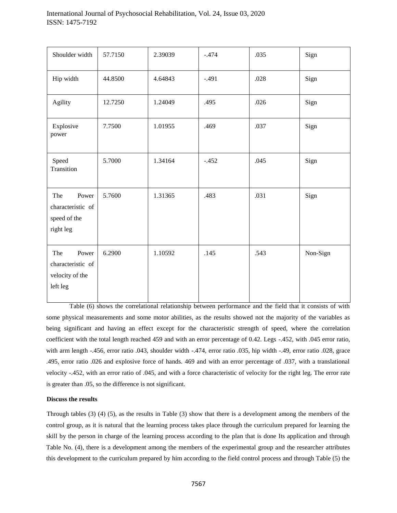| Shoulder width                                                   | 57.7150 | 2.39039 | $-.474$ | .035 | Sign     |
|------------------------------------------------------------------|---------|---------|---------|------|----------|
| Hip width                                                        | 44.8500 | 4.64843 | $-.491$ | .028 | Sign     |
| Agility                                                          | 12.7250 | 1.24049 | .495    | .026 | Sign     |
| Explosive<br>power                                               | 7.7500  | 1.01955 | .469    | .037 | Sign     |
| Speed<br>Transition                                              | 5.7000  | 1.34164 | $-.452$ | .045 | Sign     |
| Power<br>The<br>characteristic of<br>speed of the<br>right leg   | 5.7600  | 1.31365 | .483    | .031 | Sign     |
| The<br>Power<br>characteristic of<br>velocity of the<br>left leg | 6.2900  | 1.10592 | .145    | .543 | Non-Sign |

Table (6) shows the correlational relationship between performance and the field that it consists of with some physical measurements and some motor abilities, as the results showed not the majority of the variables as being significant and having an effect except for the characteristic strength of speed, where the correlation coefficient with the total length reached 459 and with an error percentage of 0.42. Legs -.452, with .045 error ratio, with arm length -.456, error ratio .043, shoulder width -.474, error ratio .035, hip width -.49, error ratio .028, grace .495, error ratio .026 and explosive force of hands. 469 and with an error percentage of .037, with a translational velocity -.452, with an error ratio of .045, and with a force characteristic of velocity for the right leg. The error rate is greater than .05, so the difference is not significant.

## **Discuss the results**

Through tables (3) (4) (5), as the results in Table (3) show that there is a development among the members of the control group, as it is natural that the learning process takes place through the curriculum prepared for learning the skill by the person in charge of the learning process according to the plan that is done Its application and through Table No. (4), there is a development among the members of the experimental group and the researcher attributes this development to the curriculum prepared by him according to the field control process and through Table (5) the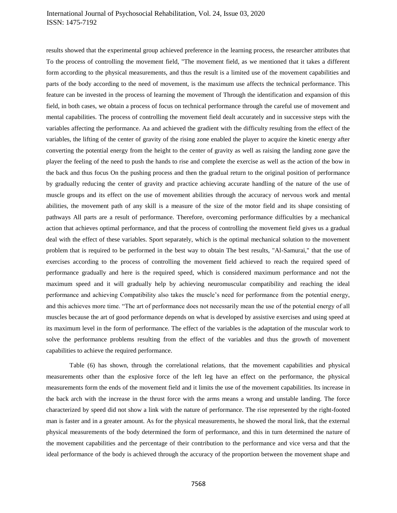# International Journal of Psychosocial Rehabilitation, Vol. 24, Issue 03, 2020 ISSN: 1475-7192

results showed that the experimental group achieved preference in the learning process, the researcher attributes that To the process of controlling the movement field, "The movement field, as we mentioned that it takes a different form according to the physical measurements, and thus the result is a limited use of the movement capabilities and parts of the body according to the need of movement, is the maximum use affects the technical performance. This feature can be invested in the process of learning the movement of Through the identification and expansion of this field, in both cases, we obtain a process of focus on technical performance through the careful use of movement and mental capabilities. The process of controlling the movement field dealt accurately and in successive steps with the variables affecting the performance. Aa and achieved the gradient with the difficulty resulting from the effect of the variables, the lifting of the center of gravity of the rising zone enabled the player to acquire the kinetic energy after converting the potential energy from the height to the center of gravity as well as raising the landing zone gave the player the feeling of the need to push the hands to rise and complete the exercise as well as the action of the bow in the back and thus focus On the pushing process and then the gradual return to the original position of performance by gradually reducing the center of gravity and practice achieving accurate handling of the nature of the use of muscle groups and its effect on the use of movement abilities through the accuracy of nervous work and mental abilities, the movement path of any skill is a measure of the size of the motor field and its shape consisting of pathways All parts are a result of performance. Therefore, overcoming performance difficulties by a mechanical action that achieves optimal performance, and that the process of controlling the movement field gives us a gradual deal with the effect of these variables. Sport separately, which is the optimal mechanical solution to the movement problem that is required to be performed in the best way to obtain The best results, "Al-Samurai," that the use of exercises according to the process of controlling the movement field achieved to reach the required speed of performance gradually and here is the required speed, which is considered maximum performance and not the maximum speed and it will gradually help by achieving neuromuscular compatibility and reaching the ideal performance and achieving Compatibility also takes the muscle's need for performance from the potential energy, and this achieves more time. "The art of performance does not necessarily mean the use of the potential energy of all muscles because the art of good performance depends on what is developed by assistive exercises and using speed at its maximum level in the form of performance. The effect of the variables is the adaptation of the muscular work to solve the performance problems resulting from the effect of the variables and thus the growth of movement capabilities to achieve the required performance.

Table (6) has shown, through the correlational relations, that the movement capabilities and physical measurements other than the explosive force of the left leg have an effect on the performance, the physical measurements form the ends of the movement field and it limits the use of the movement capabilities. Its increase in the back arch with the increase in the thrust force with the arms means a wrong and unstable landing. The force characterized by speed did not show a link with the nature of performance. The rise represented by the right-footed man is faster and in a greater amount. As for the physical measurements, he showed the moral link, that the external physical measurements of the body determined the form of performance, and this in turn determined the nature of the movement capabilities and the percentage of their contribution to the performance and vice versa and that the ideal performance of the body is achieved through the accuracy of the proportion between the movement shape and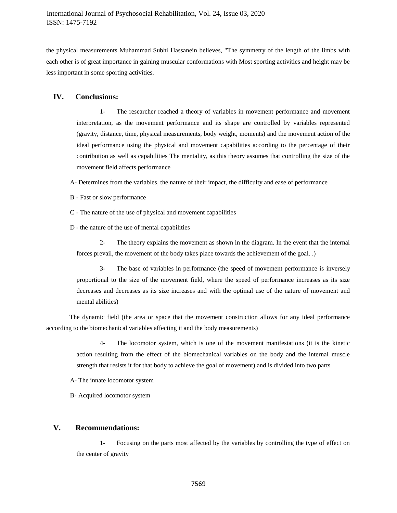the physical measurements Muhammad Subhi Hassanein believes, "The symmetry of the length of the limbs with each other is of great importance in gaining muscular conformations with Most sporting activities and height may be less important in some sporting activities.

# **IV. Conclusions:**

1- The researcher reached a theory of variables in movement performance and movement interpretation, as the movement performance and its shape are controlled by variables represented (gravity, distance, time, physical measurements, body weight, moments) and the movement action of the ideal performance using the physical and movement capabilities according to the percentage of their contribution as well as capabilities The mentality, as this theory assumes that controlling the size of the movement field affects performance

A- Determines from the variables, the nature of their impact, the difficulty and ease of performance

- B Fast or slow performance
- C The nature of the use of physical and movement capabilities
- D the nature of the use of mental capabilities

2- The theory explains the movement as shown in the diagram. In the event that the internal forces prevail, the movement of the body takes place towards the achievement of the goal. .)

3- The base of variables in performance (the speed of movement performance is inversely proportional to the size of the movement field, where the speed of performance increases as its size decreases and decreases as its size increases and with the optimal use of the nature of movement and mental abilities)

The dynamic field (the area or space that the movement construction allows for any ideal performance according to the biomechanical variables affecting it and the body measurements)

> 4- The locomotor system, which is one of the movement manifestations (it is the kinetic action resulting from the effect of the biomechanical variables on the body and the internal muscle strength that resists it for that body to achieve the goal of movement) and is divided into two parts

- A- The innate locomotor system
- B- Acquired locomotor system

# **V. Recommendations:**

1- Focusing on the parts most affected by the variables by controlling the type of effect on the center of gravity